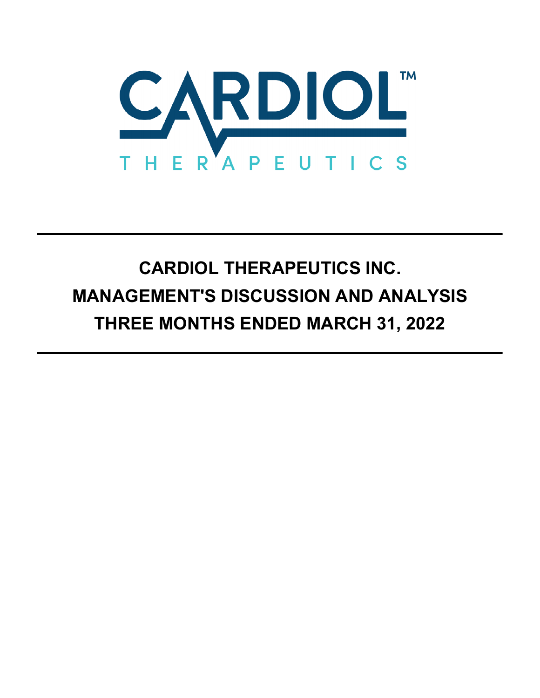

# **CARDIOL THERAPEUTICS INC. MANAGEMENT'S DISCUSSION AND ANALYSIS THREE MONTHS ENDED MARCH 31, 2022**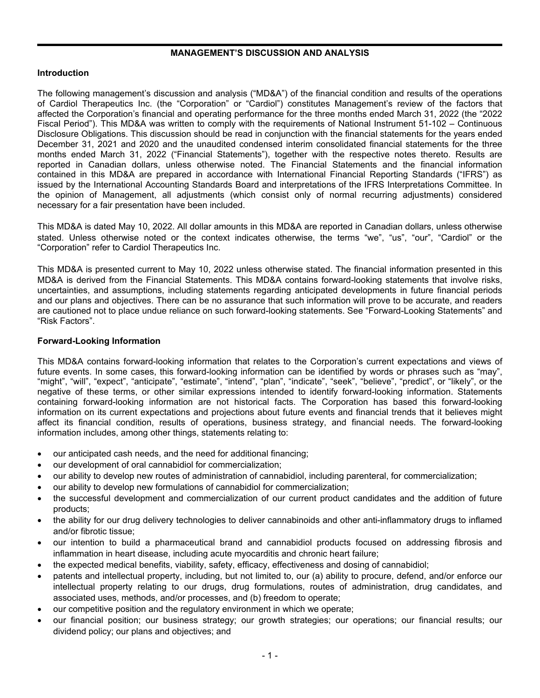# **MANAGEMENT'S DISCUSSION AND ANALYSIS**

# **Introduction**

The following management's discussion and analysis ("MD&A") of the financial condition and results of the operations of Cardiol Therapeutics Inc. (the "Corporation" or "Cardiol") constitutes Management's review of the factors that affected the Corporation's financial and operating performance for the three months ended March 31, 2022 (the "2022 Fiscal Period"). This MD&A was written to comply with the requirements of National Instrument 51-102 – Continuous Disclosure Obligations. This discussion should be read in conjunction with the financial statements for the years ended December 31, 2021 and 2020 and the unaudited condensed interim consolidated financial statements for the three months ended March 31, 2022 ("Financial Statements"), together with the respective notes thereto. Results are reported in Canadian dollars, unless otherwise noted. The Financial Statements and the financial information contained in this MD&A are prepared in accordance with International Financial Reporting Standards ("IFRS") as issued by the International Accounting Standards Board and interpretations of the IFRS Interpretations Committee. In the opinion of Management, all adjustments (which consist only of normal recurring adjustments) considered necessary for a fair presentation have been included.

This MD&A is dated May 10, 2022. All dollar amounts in this MD&A are reported in Canadian dollars, unless otherwise stated. Unless otherwise noted or the context indicates otherwise, the terms "we", "us", "our", "Cardiol" or the "Corporation" refer to Cardiol Therapeutics Inc.

This MD&A is presented current to May 10, 2022 unless otherwise stated. The financial information presented in this MD&A is derived from the Financial Statements. This MD&A contains forward-looking statements that involve risks, uncertainties, and assumptions, including statements regarding anticipated developments in future financial periods and our plans and objectives. There can be no assurance that such information will prove to be accurate, and readers are cautioned not to place undue reliance on such forward-looking statements. See "Forward-Looking Statements" and "Risk Factors".

## **Forward-Looking Information**

This MD&A contains forward-looking information that relates to the Corporation's current expectations and views of future events. In some cases, this forward-looking information can be identified by words or phrases such as "may", "might", "will", "expect", "anticipate", "estimate", "intend", "plan", "indicate", "seek", "believe", "predict", or "likely", or the negative of these terms, or other similar expressions intended to identify forward-looking information. Statements containing forward-looking information are not historical facts. The Corporation has based this forward-looking information on its current expectations and projections about future events and financial trends that it believes might affect its financial condition, results of operations, business strategy, and financial needs. The forward-looking information includes, among other things, statements relating to:

- our anticipated cash needs, and the need for additional financing;
- our development of oral cannabidiol for commercialization;
- our ability to develop new routes of administration of cannabidiol, including parenteral, for commercialization;
- our ability to develop new formulations of cannabidiol for commercialization;
- the successful development and commercialization of our current product candidates and the addition of future products;
- the ability for our drug delivery technologies to deliver cannabinoids and other anti-inflammatory drugs to inflamed and/or fibrotic tissue;
- our intention to build a pharmaceutical brand and cannabidiol products focused on addressing fibrosis and inflammation in heart disease, including acute myocarditis and chronic heart failure;
- the expected medical benefits, viability, safety, efficacy, effectiveness and dosing of cannabidiol;
- patents and intellectual property, including, but not limited to, our (a) ability to procure, defend, and/or enforce our intellectual property relating to our drugs, drug formulations, routes of administration, drug candidates, and associated uses, methods, and/or processes, and (b) freedom to operate;
- our competitive position and the regulatory environment in which we operate;
- our financial position; our business strategy; our growth strategies; our operations; our financial results; our dividend policy; our plans and objectives; and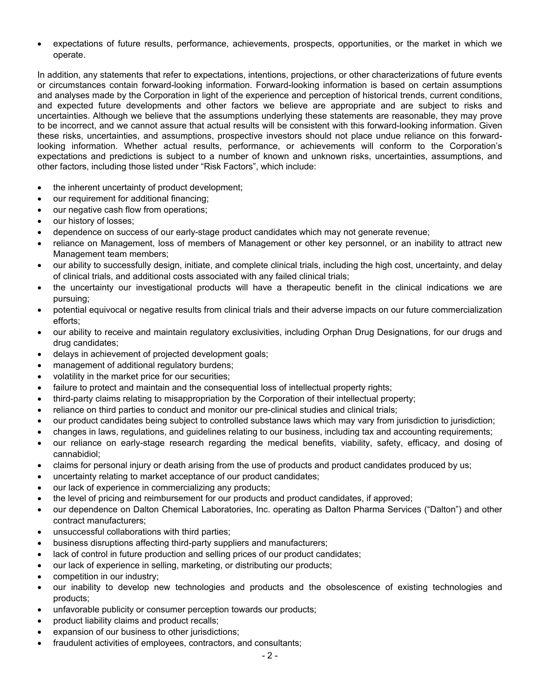expectations of future results, performance, achievements, prospects, opportunities, or the market in which we operate.

In addition, any statements that refer to expectations, intentions, projections, or other characterizations of future events or circumstances contain forward-looking information. Forward-looking information is based on certain assumptions and analyses made by the Corporation in light of the experience and perception of historical trends, current conditions, and expected future developments and other factors we believe are appropriate and are subject to risks and uncertainties. Although we believe that the assumptions underlying these statements are reasonable, they may prove to be incorrect, and we cannot assure that actual results will be consistent with this forward-looking information. Given these risks, uncertainties, and assumptions, prospective investors should not place undue reliance on this forwardlooking information. Whether actual results, performance, or achievements will conform to the Corporation's expectations and predictions is subject to a number of known and unknown risks, uncertainties, assumptions, and other factors, including those listed under "Risk Factors", which include:

- the inherent uncertainty of product development;
- our requirement for additional financing;
- our negative cash flow from operations:
- our history of losses:
- dependence on success of our early-stage product candidates which may not generate revenue;
- reliance on Management, loss of members of Management or other key personnel, or an inability to attract new Management team members;
- our ability to successfully design, initiate, and complete clinical trials, including the high cost, uncertainty, and delay of clinical trials, and additional costs associated with any failed clinical trials;
- the uncertainty our investigational products will have a therapeutic benefit in the clinical indications we are pursuing;
- potential equivocal or negative results from clinical trials and their adverse impacts on our future commercialization efforts;
- our ability to receive and maintain regulatory exclusivities, including Orphan Drug Designations, for our drugs and drug candidates;
- delays in achievement of projected development goals;
- management of additional regulatory burdens;
- volatility in the market price for our securities;
- failure to protect and maintain and the consequential loss of intellectual property rights;
- third-party claims relating to misappropriation by the Corporation of their intellectual property;
- reliance on third parties to conduct and monitor our pre-clinical studies and clinical trials;
- our product candidates being subject to controlled substance laws which may vary from jurisdiction to jurisdiction;
- changes in laws, regulations, and guidelines relating to our business, including tax and accounting requirements;
- our reliance on early-stage research regarding the medical benefits, viability, safety, efficacy, and dosing of cannabidiol;
- claims for personal injury or death arising from the use of products and product candidates produced by us;
- uncertainty relating to market acceptance of our product candidates;
- our lack of experience in commercializing any products;
- the level of pricing and reimbursement for our products and product candidates, if approved;
- our dependence on Dalton Chemical Laboratories, Inc. operating as Dalton Pharma Services ("Dalton") and other contract manufacturers;
- unsuccessful collaborations with third parties;
- business disruptions affecting third-party suppliers and manufacturers;
- lack of control in future production and selling prices of our product candidates;
- our lack of experience in selling, marketing, or distributing our products;
- competition in our industry;
- our inability to develop new technologies and products and the obsolescence of existing technologies and products;
- unfavorable publicity or consumer perception towards our products;
- product liability claims and product recalls;
- expansion of our business to other jurisdictions;
- fraudulent activities of employees, contractors, and consultants;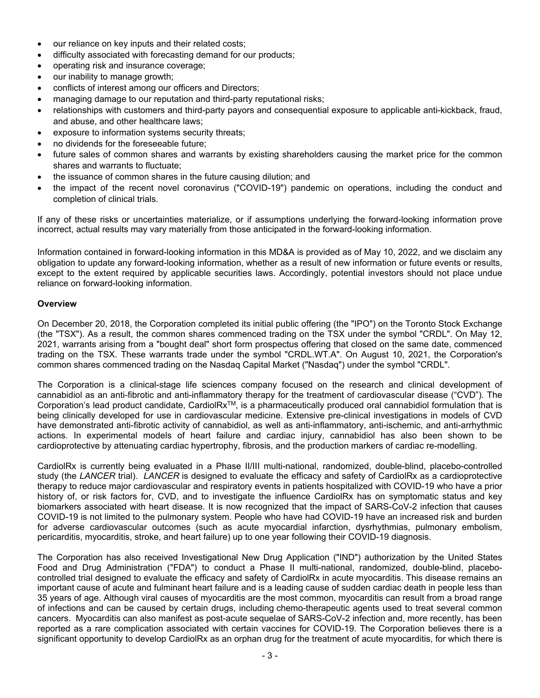- our reliance on key inputs and their related costs;
- difficulty associated with forecasting demand for our products;
- operating risk and insurance coverage;
- our inability to manage growth;
- conflicts of interest among our officers and Directors;
- managing damage to our reputation and third-party reputational risks;
- relationships with customers and third-party payors and consequential exposure to applicable anti-kickback, fraud, and abuse, and other healthcare laws;
- exposure to information systems security threats;
- no dividends for the foreseeable future;
- future sales of common shares and warrants by existing shareholders causing the market price for the common shares and warrants to fluctuate;
- the issuance of common shares in the future causing dilution; and
- the impact of the recent novel coronavirus ("COVID-19") pandemic on operations, including the conduct and completion of clinical trials.

If any of these risks or uncertainties materialize, or if assumptions underlying the forward-looking information prove incorrect, actual results may vary materially from those anticipated in the forward-looking information.

Information contained in forward-looking information in this MD&A is provided as of May 10, 2022, and we disclaim any obligation to update any forward-looking information, whether as a result of new information or future events or results, except to the extent required by applicable securities laws. Accordingly, potential investors should not place undue reliance on forward-looking information.

## **Overview**

On December 20, 2018, the Corporation completed its initial public offering (the "IPO") on the Toronto Stock Exchange (the "TSX"). As a result, the common shares commenced trading on the TSX under the symbol "CRDL". On May 12, 2021, warrants arising from a "bought deal" short form prospectus offering that closed on the same date, commenced trading on the TSX. These warrants trade under the symbol "CRDL.WT.A". On August 10, 2021, the Corporation's common shares commenced trading on the Nasdaq Capital Market ("Nasdaq") under the symbol "CRDL".

The Corporation is a clinical-stage life sciences company focused on the research and clinical development of cannabidiol as an anti-fibrotic and anti-inflammatory therapy for the treatment of cardiovascular disease ("CVD"). The Corporation's lead product candidate, CardiolRx<sup>™</sup>, is a pharmaceutically produced oral cannabidiol formulation that is being clinically developed for use in cardiovascular medicine. Extensive pre-clinical investigations in models of CVD have demonstrated anti-fibrotic activity of cannabidiol, as well as anti-inflammatory, anti-ischemic, and anti-arrhythmic actions. In experimental models of heart failure and cardiac injury, cannabidiol has also been shown to be cardioprotective by attenuating cardiac hypertrophy, fibrosis, and the production markers of cardiac re-modelling.

CardiolRx is currently being evaluated in a Phase II/III multi-national, randomized, double-blind, placebo-controlled study (the *LANCER* trial). *LANCER* is designed to evaluate the efficacy and safety of CardiolRx as a cardioprotective therapy to reduce major cardiovascular and respiratory events in patients hospitalized with COVID-19 who have a prior history of, or risk factors for, CVD, and to investigate the influence CardiolRx has on symptomatic status and key biomarkers associated with heart disease. It is now recognized that the impact of SARS-CoV-2 infection that causes COVID-19 is not limited to the pulmonary system. People who have had COVID-19 have an increased risk and burden for adverse cardiovascular outcomes (such as acute myocardial infarction, dysrhythmias, pulmonary embolism, pericarditis, myocarditis, stroke, and heart failure) up to one year following their COVID-19 diagnosis.

The Corporation has also received Investigational New Drug Application ("IND") authorization by the United States Food and Drug Administration ("FDA") to conduct a Phase II multi-national, randomized, double-blind, placebocontrolled trial designed to evaluate the efficacy and safety of CardiolRx in acute myocarditis. This disease remains an important cause of acute and fulminant heart failure and is a leading cause of sudden cardiac death in people less than 35 years of age. Although viral causes of myocarditis are the most common, myocarditis can result from a broad range of infections and can be caused by certain drugs, including chemo-therapeutic agents used to treat several common cancers. Myocarditis can also manifest as post-acute sequelae of SARS-CoV-2 infection and, more recently, has been reported as a rare complication associated with certain vaccines for COVID-19. The Corporation believes there is a significant opportunity to develop CardiolRx as an orphan drug for the treatment of acute myocarditis, for which there is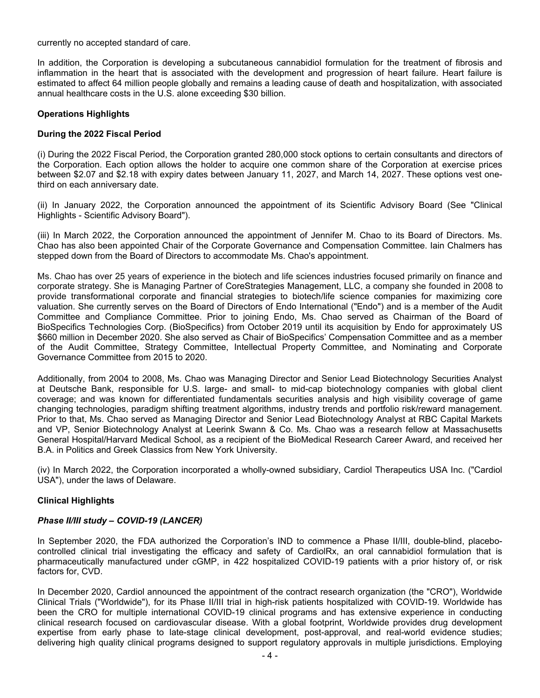currently no accepted standard of care.

In addition, the Corporation is developing a subcutaneous cannabidiol formulation for the treatment of fibrosis and inflammation in the heart that is associated with the development and progression of heart failure. Heart failure is estimated to affect 64 million people globally and remains a leading cause of death and hospitalization, with associated annual healthcare costs in the U.S. alone exceeding \$30 billion.

# **Operations Highlights**

# **During the 2022 Fiscal Period**

(i) During the 2022 Fiscal Period, the Corporation granted 280,000 stock options to certain consultants and directors of the Corporation. Each option allows the holder to acquire one common share of the Corporation at exercise prices between \$2.07 and \$2.18 with expiry dates between January 11, 2027, and March 14, 2027. These options vest onethird on each anniversary date.

(ii) In January 2022, the Corporation announced the appointment of its Scientific Advisory Board (See "Clinical Highlights - Scientific Advisory Board").

(iii) In March 2022, the Corporation announced the appointment of Jennifer M. Chao to its Board of Directors. Ms. Chao has also been appointed Chair of the Corporate Governance and Compensation Committee. Iain Chalmers has stepped down from the Board of Directors to accommodate Ms. Chao's appointment.

Ms. Chao has over 25 years of experience in the biotech and life sciences industries focused primarily on finance and corporate strategy. She is Managing Partner of CoreStrategies Management, LLC, a company she founded in 2008 to provide transformational corporate and financial strategies to biotech/life science companies for maximizing core valuation. She currently serves on the Board of Directors of Endo International ("Endo") and is a member of the Audit Committee and Compliance Committee. Prior to joining Endo, Ms. Chao served as Chairman of the Board of BioSpecifics Technologies Corp. (BioSpecifics) from October 2019 until its acquisition by Endo for approximately US \$660 million in December 2020. She also served as Chair of BioSpecifics' Compensation Committee and as a member of the Audit Committee, Strategy Committee, Intellectual Property Committee, and Nominating and Corporate Governance Committee from 2015 to 2020.

Additionally, from 2004 to 2008, Ms. Chao was Managing Director and Senior Lead Biotechnology Securities Analyst at Deutsche Bank, responsible for U.S. large- and small- to mid-cap biotechnology companies with global client coverage; and was known for differentiated fundamentals securities analysis and high visibility coverage of game changing technologies, paradigm shifting treatment algorithms, industry trends and portfolio risk/reward management. Prior to that, Ms. Chao served as Managing Director and Senior Lead Biotechnology Analyst at RBC Capital Markets and VP, Senior Biotechnology Analyst at Leerink Swann & Co. Ms. Chao was a research fellow at Massachusetts General Hospital/Harvard Medical School, as a recipient of the BioMedical Research Career Award, and received her B.A. in Politics and Greek Classics from New York University.

(iv) In March 2022, the Corporation incorporated a wholly-owned subsidiary, Cardiol Therapeutics USA Inc. ("Cardiol USA"), under the laws of Delaware.

# **Clinical Highlights**

# *Phase II/III study – COVID-19 (LANCER)*

In September 2020, the FDA authorized the Corporation's IND to commence a Phase II/III, double-blind, placebocontrolled clinical trial investigating the efficacy and safety of CardiolRx, an oral cannabidiol formulation that is pharmaceutically manufactured under cGMP, in 422 hospitalized COVID-19 patients with a prior history of, or risk factors for, CVD.

In December 2020, Cardiol announced the appointment of the contract research organization (the "CRO"), Worldwide Clinical Trials ("Worldwide"), for its Phase II/III trial in high-risk patients hospitalized with COVID-19. Worldwide has been the CRO for multiple international COVID-19 clinical programs and has extensive experience in conducting clinical research focused on cardiovascular disease. With a global footprint, Worldwide provides drug development expertise from early phase to late-stage clinical development, post-approval, and real-world evidence studies; delivering high quality clinical programs designed to support regulatory approvals in multiple jurisdictions. Employing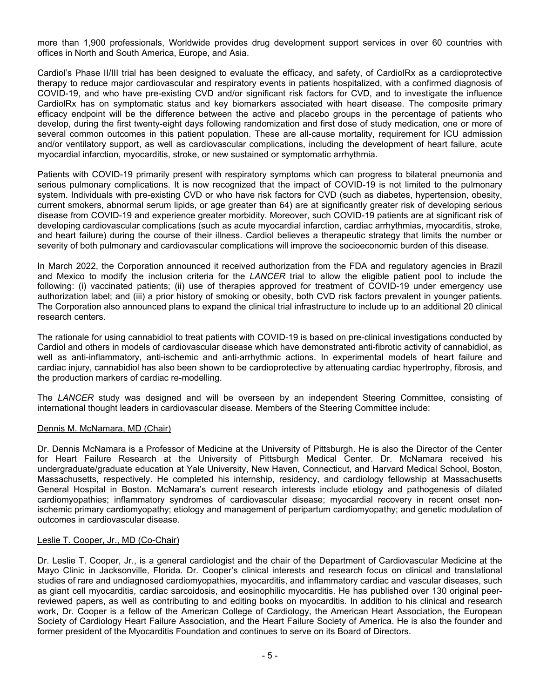more than 1,900 professionals, Worldwide provides drug development support services in over 60 countries with offices in North and South America, Europe, and Asia.

Cardiol's Phase II/III trial has been designed to evaluate the efficacy, and safety, of CardiolRx as a cardioprotective therapy to reduce major cardiovascular and respiratory events in patients hospitalized, with a confirmed diagnosis of COVID-19, and who have pre-existing CVD and/or significant risk factors for CVD, and to investigate the influence CardiolRx has on symptomatic status and key biomarkers associated with heart disease. The composite primary efficacy endpoint will be the difference between the active and placebo groups in the percentage of patients who develop, during the first twenty-eight days following randomization and first dose of study medication, one or more of several common outcomes in this patient population. These are all-cause mortality, requirement for ICU admission and/or ventilatory support, as well as cardiovascular complications, including the development of heart failure, acute myocardial infarction, myocarditis, stroke, or new sustained or symptomatic arrhythmia.

Patients with COVID-19 primarily present with respiratory symptoms which can progress to bilateral pneumonia and serious pulmonary complications. It is now recognized that the impact of COVID-19 is not limited to the pulmonary system. Individuals with pre-existing CVD or who have risk factors for CVD (such as diabetes, hypertension, obesity, current smokers, abnormal serum lipids, or age greater than 64) are at significantly greater risk of developing serious disease from COVID-19 and experience greater morbidity. Moreover, such COVID-19 patients are at significant risk of developing cardiovascular complications (such as acute myocardial infarction, cardiac arrhythmias, myocarditis, stroke, and heart failure) during the course of their illness. Cardiol believes a therapeutic strategy that limits the number or severity of both pulmonary and cardiovascular complications will improve the socioeconomic burden of this disease.

In March 2022, the Corporation announced it received authorization from the FDA and regulatory agencies in Brazil and Mexico to modify the inclusion criteria for the *LANCER* trial to allow the eligible patient pool to include the following: (i) vaccinated patients; (ii) use of therapies approved for treatment of COVID-19 under emergency use authorization label; and (iii) a prior history of smoking or obesity, both CVD risk factors prevalent in younger patients. The Corporation also announced plans to expand the clinical trial infrastructure to include up to an additional 20 clinical research centers.

The rationale for using cannabidiol to treat patients with COVID-19 is based on pre-clinical investigations conducted by Cardiol and others in models of cardiovascular disease which have demonstrated anti-fibrotic activity of cannabidiol, as well as anti-inflammatory, anti-ischemic and anti-arrhythmic actions. In experimental models of heart failure and cardiac injury, cannabidiol has also been shown to be cardioprotective by attenuating cardiac hypertrophy, fibrosis, and the production markers of cardiac re-modelling.

The *LANCER* study was designed and will be overseen by an independent Steering Committee, consisting of international thought leaders in cardiovascular disease. Members of the Steering Committee include:

## Dennis M. McNamara, MD (Chair)

Dr. Dennis McNamara is a Professor of Medicine at the University of Pittsburgh. He is also the Director of the Center for Heart Failure Research at the University of Pittsburgh Medical Center. Dr. McNamara received his undergraduate/graduate education at Yale University, New Haven, Connecticut, and Harvard Medical School, Boston, Massachusetts, respectively. He completed his internship, residency, and cardiology fellowship at Massachusetts General Hospital in Boston. McNamara's current research interests include etiology and pathogenesis of dilated cardiomyopathies; inflammatory syndromes of cardiovascular disease; myocardial recovery in recent onset nonischemic primary cardiomyopathy; etiology and management of peripartum cardiomyopathy; and genetic modulation of outcomes in cardiovascular disease.

## Leslie T. Cooper, Jr., MD (Co-Chair)

Dr. Leslie T. Cooper, Jr., is a general cardiologist and the chair of the Department of Cardiovascular Medicine at the Mayo Clinic in Jacksonville, Florida. Dr. Cooper's clinical interests and research focus on clinical and translational studies of rare and undiagnosed cardiomyopathies, myocarditis, and inflammatory cardiac and vascular diseases, such as giant cell myocarditis, cardiac sarcoidosis, and eosinophilic myocarditis. He has published over 130 original peerreviewed papers, as well as contributing to and editing books on myocarditis. In addition to his clinical and research work, Dr. Cooper is a fellow of the American College of Cardiology, the American Heart Association, the European Society of Cardiology Heart Failure Association, and the Heart Failure Society of America. He is also the founder and former president of the Myocarditis Foundation and continues to serve on its Board of Directors.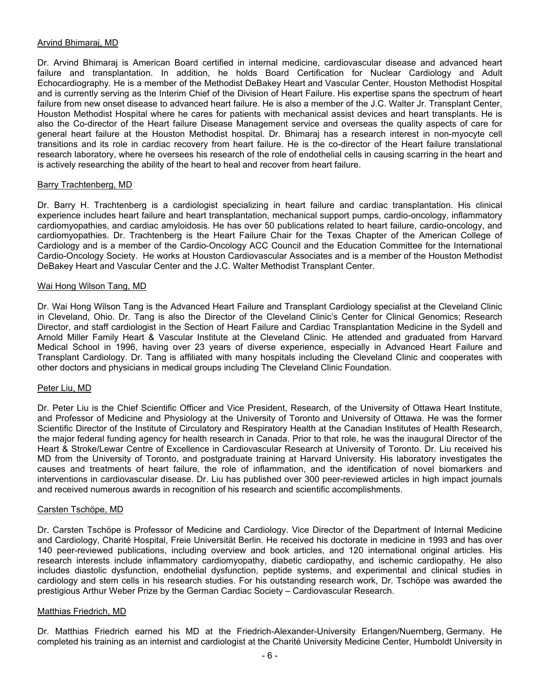## Arvind Bhimaraj, MD

Dr. Arvind Bhimaraj is American Board certified in internal medicine, cardiovascular disease and advanced heart failure and transplantation. In addition, he holds Board Certification for Nuclear Cardiology and Adult Echocardiography. He is a member of the Methodist DeBakey Heart and Vascular Center, Houston Methodist Hospital and is currently serving as the Interim Chief of the Division of Heart Failure. His expertise spans the spectrum of heart failure from new onset disease to advanced heart failure. He is also a member of the J.C. Walter Jr. Transplant Center, Houston Methodist Hospital where he cares for patients with mechanical assist devices and heart transplants. He is also the Co-director of the Heart failure Disease Management service and overseas the quality aspects of care for general heart failure at the Houston Methodist hospital. Dr. Bhimaraj has a research interest in non-myocyte cell transitions and its role in cardiac recovery from heart failure. He is the co-director of the Heart failure translational research laboratory, where he oversees his research of the role of endothelial cells in causing scarring in the heart and is actively researching the ability of the heart to heal and recover from heart failure.

## Barry Trachtenberg, MD

Dr. Barry H. Trachtenberg is a cardiologist specializing in heart failure and cardiac transplantation. His clinical experience includes heart failure and heart transplantation, mechanical support pumps, cardio-oncology, inflammatory cardiomyopathies, and cardiac amyloidosis. He has over 50 publications related to heart failure, cardio-oncology, and cardiomyopathies. Dr. Trachtenberg is the Heart Failure Chair for the Texas Chapter of the American College of Cardiology and is a member of the Cardio-Oncology ACC Council and the Education Committee for the International Cardio-Oncology Society. He works at Houston Cardiovascular Associates and is a member of the Houston Methodist DeBakey Heart and Vascular Center and the J.C. Walter Methodist Transplant Center.

## Wai Hong Wilson Tang, MD

Dr. Wai Hong Wilson Tang is the Advanced Heart Failure and Transplant Cardiology specialist at the Cleveland Clinic in Cleveland, Ohio. Dr. Tang is also the Director of the Cleveland Clinic's Center for Clinical Genomics; Research Director, and staff cardiologist in the Section of Heart Failure and Cardiac Transplantation Medicine in the Sydell and Arnold Miller Family Heart & Vascular Institute at the Cleveland Clinic. He attended and graduated from Harvard Medical School in 1996, having over 23 years of diverse experience, especially in Advanced Heart Failure and Transplant Cardiology. Dr. Tang is affiliated with many hospitals including the Cleveland Clinic and cooperates with other doctors and physicians in medical groups including The Cleveland Clinic Foundation.

## Peter Liu, MD

Dr. Peter Liu is the Chief Scientific Officer and Vice President, Research, of the University of Ottawa Heart Institute, and Professor of Medicine and Physiology at the University of Toronto and University of Ottawa. He was the former Scientific Director of the Institute of Circulatory and Respiratory Health at the Canadian Institutes of Health Research, the major federal funding agency for health research in Canada. Prior to that role, he was the inaugural Director of the Heart & Stroke/Lewar Centre of Excellence in Cardiovascular Research at University of Toronto. Dr. Liu received his MD from the University of Toronto, and postgraduate training at Harvard University. His laboratory investigates the causes and treatments of heart failure, the role of inflammation, and the identification of novel biomarkers and interventions in cardiovascular disease. Dr. Liu has published over 300 peer-reviewed articles in high impact journals and received numerous awards in recognition of his research and scientific accomplishments.

#### Carsten Tschöpe, MD

Dr. Carsten Tschöpe is Professor of Medicine and Cardiology. Vice Director of the Department of Internal Medicine and Cardiology, Charité Hospital, Freie Universität Berlin. He received his doctorate in medicine in 1993 and has over 140 peer-reviewed publications, including overview and book articles, and 120 international original articles. His research interests include inflammatory cardiomyopathy, diabetic cardiopathy, and ischemic cardiopathy. He also includes diastolic dysfunction, endothelial dysfunction, peptide systems, and experimental and clinical studies in cardiology and stem cells in his research studies. For his outstanding research work, Dr. Tschöpe was awarded the prestigious Arthur Weber Prize by the German Cardiac Society – Cardiovascular Research.

## Matthias Friedrich, MD

Dr. Matthias Friedrich earned his MD at the Friedrich-Alexander-University Erlangen/Nuernberg, Germany. He completed his training as an internist and cardiologist at the Charité University Medicine Center, Humboldt University in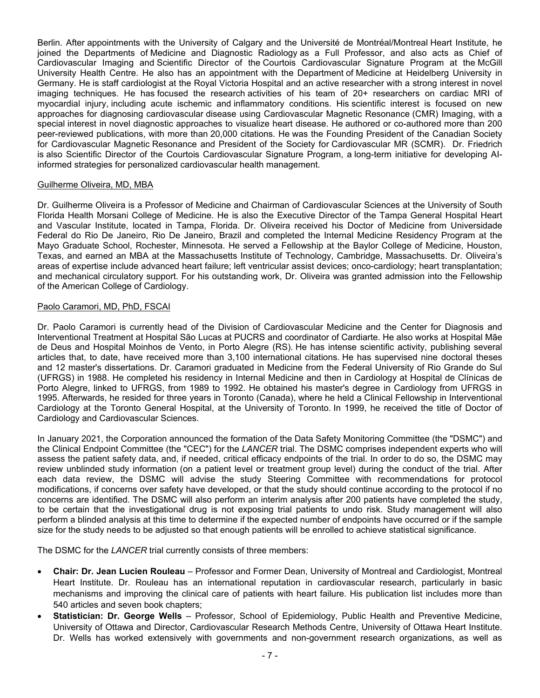Berlin. After appointments with the University of Calgary and the Université de Montréal/Montreal Heart Institute, he joined the Departments of Medicine and Diagnostic Radiology as a Full Professor, and also acts as Chief of Cardiovascular Imaging and Scientific Director of the Courtois Cardiovascular Signature Program at the McGill University Health Centre. He also has an appointment with the Department of Medicine at Heidelberg University in Germany. He is staff cardiologist at the Royal Victoria Hospital and an active researcher with a strong interest in novel imaging techniques. He has focused the research activities of his team of 20+ researchers on cardiac MRI of myocardial injury, including acute ischemic and inflammatory conditions. His scientific interest is focused on new approaches for diagnosing cardiovascular disease using Cardiovascular Magnetic Resonance (CMR) Imaging, with a special interest in novel diagnostic approaches to visualize heart disease. He authored or co-authored more than 200 peer-reviewed publications, with more than 20,000 citations. He was the Founding President of the Canadian Society for Cardiovascular Magnetic Resonance and President of the Society for Cardiovascular MR (SCMR). Dr. Friedrich is also Scientific Director of the Courtois Cardiovascular Signature Program, a long-term initiative for developing AIinformed strategies for personalized cardiovascular health management.

## Guilherme Oliveira, MD, MBA

Dr. Guilherme Oliveira is a Professor of Medicine and Chairman of Cardiovascular Sciences at the University of South Florida Health Morsani College of Medicine. He is also the Executive Director of the Tampa General Hospital Heart and Vascular Institute, located in Tampa, Florida. Dr. Oliveira received his Doctor of Medicine from Universidade Federal do Rio De Janeiro, Rio De Janeiro, Brazil and completed the Internal Medicine Residency Program at the Mayo Graduate School, Rochester, Minnesota. He served a Fellowship at the Baylor College of Medicine, Houston, Texas, and earned an MBA at the Massachusetts Institute of Technology, Cambridge, Massachusetts. Dr. Oliveira's areas of expertise include advanced heart failure; left ventricular assist devices; onco-cardiology; heart transplantation; and mechanical circulatory support. For his outstanding work, Dr. Oliveira was granted admission into the Fellowship of the American College of Cardiology.

## Paolo Caramori, MD, PhD, FSCAI

Dr. Paolo Caramori is currently head of the Division of Cardiovascular Medicine and the Center for Diagnosis and Interventional Treatment at Hospital São Lucas at PUCRS and coordinator of Cardiarte. He also works at Hospital Mãe de Deus and Hospital Moinhos de Vento, in Porto Alegre (RS). He has intense scientific activity, publishing several articles that, to date, have received more than 3,100 international citations. He has supervised nine doctoral theses and 12 master's dissertations. Dr. Caramori graduated in Medicine from the Federal University of Rio Grande do Sul (UFRGS) in 1988. He completed his residency in Internal Medicine and then in Cardiology at Hospital de Clínicas de Porto Alegre, linked to UFRGS, from 1989 to 1992. He obtained his master's degree in Cardiology from UFRGS in 1995. Afterwards, he resided for three years in Toronto (Canada), where he held a Clinical Fellowship in Interventional Cardiology at the Toronto General Hospital, at the University of Toronto. In 1999, he received the title of Doctor of Cardiology and Cardiovascular Sciences.

In January 2021, the Corporation announced the formation of the Data Safety Monitoring Committee (the "DSMC") and the Clinical Endpoint Committee (the "CEC") for the *LANCER* trial. The DSMC comprises independent experts who will assess the patient safety data, and, if needed, critical efficacy endpoints of the trial. In order to do so, the DSMC may review unblinded study information (on a patient level or treatment group level) during the conduct of the trial. After each data review, the DSMC will advise the study Steering Committee with recommendations for protocol modifications, if concerns over safety have developed, or that the study should continue according to the protocol if no concerns are identified. The DSMC will also perform an interim analysis after 200 patients have completed the study, to be certain that the investigational drug is not exposing trial patients to undo risk. Study management will also perform a blinded analysis at this time to determine if the expected number of endpoints have occurred or if the sample size for the study needs to be adjusted so that enough patients will be enrolled to achieve statistical significance.

The DSMC for the *LANCER* trial currently consists of three members:

- **Chair: Dr. Jean Lucien Rouleau** Professor and Former Dean, University of Montreal and Cardiologist, Montreal Heart Institute. Dr. Rouleau has an international reputation in cardiovascular research, particularly in basic mechanisms and improving the clinical care of patients with heart failure. His publication list includes more than 540 articles and seven book chapters;
- **Statistician: Dr. George Wells** Professor, School of Epidemiology, Public Health and Preventive Medicine, University of Ottawa and Director, Cardiovascular Research Methods Centre, University of Ottawa Heart Institute. Dr. Wells has worked extensively with governments and non-government research organizations, as well as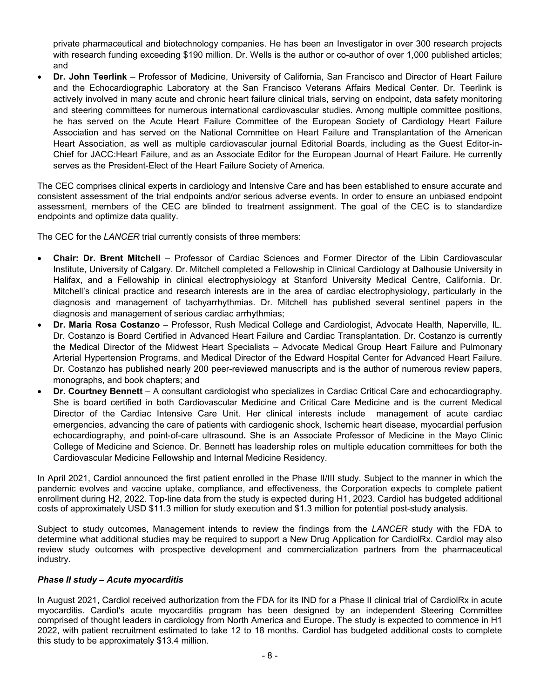private pharmaceutical and biotechnology companies. He has been an Investigator in over 300 research projects with research funding exceeding \$190 million. Dr. Wells is the author or co-author of over 1,000 published articles; and

 **Dr. John Teerlink** – Professor of Medicine, University of California, San Francisco and Director of Heart Failure and the Echocardiographic Laboratory at the San Francisco Veterans Affairs Medical Center. Dr. Teerlink is actively involved in many acute and chronic heart failure clinical trials, serving on endpoint, data safety monitoring and steering committees for numerous international cardiovascular studies. Among multiple committee positions, he has served on the Acute Heart Failure Committee of the European Society of Cardiology Heart Failure Association and has served on the National Committee on Heart Failure and Transplantation of the American Heart Association, as well as multiple cardiovascular journal Editorial Boards, including as the Guest Editor-in-Chief for JACC:Heart Failure, and as an Associate Editor for the European Journal of Heart Failure. He currently serves as the President-Elect of the Heart Failure Society of America.

The CEC comprises clinical experts in cardiology and Intensive Care and has been established to ensure accurate and consistent assessment of the trial endpoints and/or serious adverse events. In order to ensure an unbiased endpoint assessment, members of the CEC are blinded to treatment assignment. The goal of the CEC is to standardize endpoints and optimize data quality.

The CEC for the *LANCER* trial currently consists of three members:

- **Chair: Dr. Brent Mitchell** Professor of Cardiac Sciences and Former Director of the Libin Cardiovascular Institute, University of Calgary. Dr. Mitchell completed a Fellowship in Clinical Cardiology at Dalhousie University in Halifax, and a Fellowship in clinical electrophysiology at Stanford University Medical Centre, California. Dr. Mitchell's clinical practice and research interests are in the area of cardiac electrophysiology, particularly in the diagnosis and management of tachyarrhythmias. Dr. Mitchell has published several sentinel papers in the diagnosis and management of serious cardiac arrhythmias;
- **Dr. Maria Rosa Costanzo** Professor, Rush Medical College and Cardiologist, Advocate Health, Naperville, IL. Dr. Costanzo is Board Certified in Advanced Heart Failure and Cardiac Transplantation. Dr. Costanzo is currently the Medical Director of the Midwest Heart Specialists – Advocate Medical Group Heart Failure and Pulmonary Arterial Hypertension Programs, and Medical Director of the Edward Hospital Center for Advanced Heart Failure. Dr. Costanzo has published nearly 200 peer-reviewed manuscripts and is the author of numerous review papers, monographs, and book chapters; and
- **Dr. Courtney Bennett** A consultant cardiologist who specializes in Cardiac Critical Care and echocardiography. She is board certified in both Cardiovascular Medicine and Critical Care Medicine and is the current Medical Director of the Cardiac Intensive Care Unit. Her clinical interests include management of acute cardiac emergencies, advancing the care of patients with cardiogenic shock, Ischemic heart disease, myocardial perfusion echocardiography, and point-of-care ultrasound**.** She is an Associate Professor of Medicine in the Mayo Clinic College of Medicine and Science. Dr. Bennett has leadership roles on multiple education committees for both the Cardiovascular Medicine Fellowship and Internal Medicine Residency.

In April 2021, Cardiol announced the first patient enrolled in the Phase II/III study. Subject to the manner in which the pandemic evolves and vaccine uptake, compliance, and effectiveness, the Corporation expects to complete patient enrollment during H2, 2022. Top-line data from the study is expected during H1, 2023. Cardiol has budgeted additional costs of approximately USD \$11.3 million for study execution and \$1.3 million for potential post-study analysis.

Subject to study outcomes, Management intends to review the findings from the *LANCER* study with the FDA to determine what additional studies may be required to support a New Drug Application for CardiolRx. Cardiol may also review study outcomes with prospective development and commercialization partners from the pharmaceutical industry.

# *Phase II study – Acute myocarditis*

In August 2021, Cardiol received authorization from the FDA for its IND for a Phase II clinical trial of CardiolRx in acute myocarditis. Cardiol's acute myocarditis program has been designed by an independent Steering Committee comprised of thought leaders in cardiology from North America and Europe. The study is expected to commence in H1 2022, with patient recruitment estimated to take 12 to 18 months. Cardiol has budgeted additional costs to complete this study to be approximately \$13.4 million.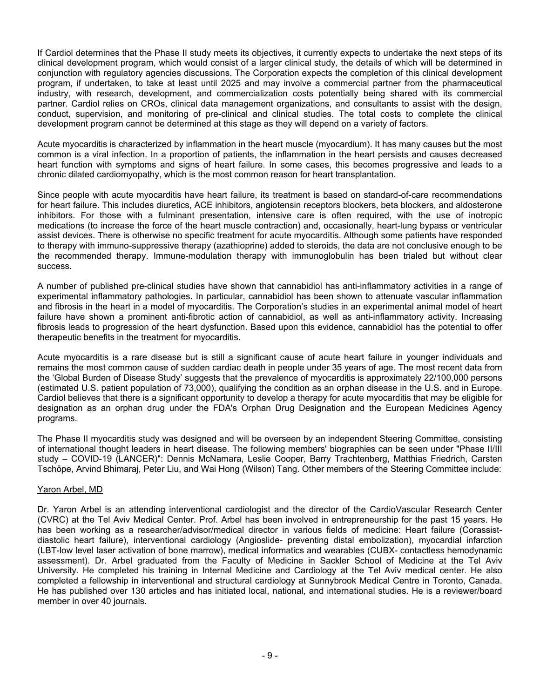If Cardiol determines that the Phase II study meets its objectives, it currently expects to undertake the next steps of its clinical development program, which would consist of a larger clinical study, the details of which will be determined in conjunction with regulatory agencies discussions. The Corporation expects the completion of this clinical development program, if undertaken, to take at least until 2025 and may involve a commercial partner from the pharmaceutical industry, with research, development, and commercialization costs potentially being shared with its commercial partner. Cardiol relies on CROs, clinical data management organizations, and consultants to assist with the design, conduct, supervision, and monitoring of pre-clinical and clinical studies. The total costs to complete the clinical development program cannot be determined at this stage as they will depend on a variety of factors.

Acute myocarditis is characterized by inflammation in the heart muscle (myocardium). It has many causes but the most common is a viral infection. In a proportion of patients, the inflammation in the heart persists and causes decreased heart function with symptoms and signs of heart failure. In some cases, this becomes progressive and leads to a chronic dilated cardiomyopathy, which is the most common reason for heart transplantation.

Since people with acute myocarditis have heart failure, its treatment is based on standard-of-care recommendations for heart failure. This includes diuretics, ACE inhibitors, angiotensin receptors blockers, beta blockers, and aldosterone inhibitors. For those with a fulminant presentation, intensive care is often required, with the use of inotropic medications (to increase the force of the heart muscle contraction) and, occasionally, heart-lung bypass or ventricular assist devices. There is otherwise no specific treatment for acute myocarditis. Although some patients have responded to therapy with immuno-suppressive therapy (azathioprine) added to steroids, the data are not conclusive enough to be the recommended therapy. Immune-modulation therapy with immunoglobulin has been trialed but without clear success.

A number of published pre-clinical studies have shown that cannabidiol has anti-inflammatory activities in a range of experimental inflammatory pathologies. In particular, cannabidiol has been shown to attenuate vascular inflammation and fibrosis in the heart in a model of myocarditis. The Corporation's studies in an experimental animal model of heart failure have shown a prominent anti-fibrotic action of cannabidiol, as well as anti-inflammatory activity. Increasing fibrosis leads to progression of the heart dysfunction. Based upon this evidence, cannabidiol has the potential to offer therapeutic benefits in the treatment for myocarditis.

Acute myocarditis is a rare disease but is still a significant cause of acute heart failure in younger individuals and remains the most common cause of sudden cardiac death in people under 35 years of age. The most recent data from the 'Global Burden of Disease Study' suggests that the prevalence of myocarditis is approximately 22/100,000 persons (estimated U.S. patient population of 73,000), qualifying the condition as an orphan disease in the U.S. and in Europe. Cardiol believes that there is a significant opportunity to develop a therapy for acute myocarditis that may be eligible for designation as an orphan drug under the FDA's Orphan Drug Designation and the European Medicines Agency programs.

The Phase II myocarditis study was designed and will be overseen by an independent Steering Committee, consisting of international thought leaders in heart disease. The following members' biographies can be seen under "Phase II/III study – COVID-19 (LANCER)": Dennis McNamara, Leslie Cooper, Barry Trachtenberg, Matthias Friedrich, Carsten Tschöpe, Arvind Bhimaraj, Peter Liu, and Wai Hong (Wilson) Tang. Other members of the Steering Committee include:

# Yaron Arbel, MD

Dr. Yaron Arbel is an attending interventional cardiologist and the director of the CardioVascular Research Center (CVRC) at the Tel Aviv Medical Center. Prof. Arbel has been involved in entrepreneurship for the past 15 years. He has been working as a researcher/advisor/medical director in various fields of medicine: Heart failure (Corassistdiastolic heart failure), interventional cardiology (Angioslide- preventing distal embolization), myocardial infarction (LBT-low level laser activation of bone marrow), medical informatics and wearables (CUBX- contactless hemodynamic assessment). Dr. Arbel graduated from the Faculty of Medicine in Sackler School of Medicine at the Tel Aviv University. He completed his training in Internal Medicine and Cardiology at the Tel Aviv medical center. He also completed a fellowship in interventional and structural cardiology at Sunnybrook Medical Centre in Toronto, Canada. He has published over 130 articles and has initiated local, national, and international studies. He is a reviewer/board member in over 40 journals.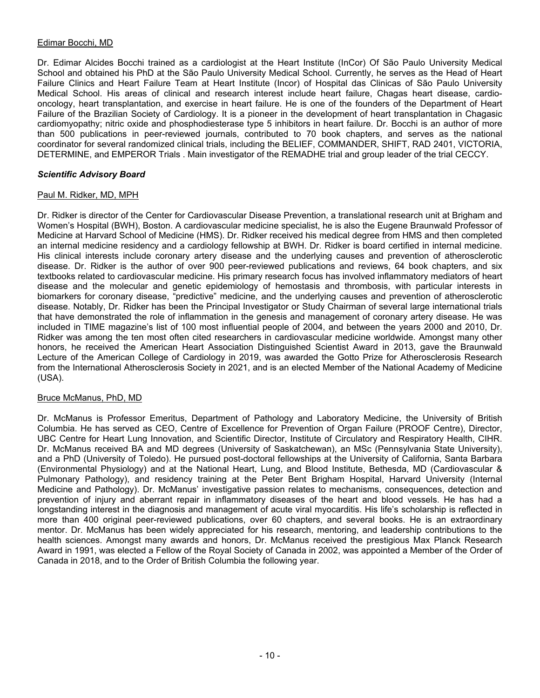# Edimar Bocchi, MD

Dr. Edimar Alcides Bocchi trained as a cardiologist at the Heart Institute (InCor) Of São Paulo University Medical School and obtained his PhD at the São Paulo University Medical School. Currently, he serves as the Head of Heart Failure Clinics and Heart Failure Team at Heart Institute (Incor) of Hospital das Clinicas of São Paulo University Medical School. His areas of clinical and research interest include heart failure, Chagas heart disease, cardiooncology, heart transplantation, and exercise in heart failure. He is one of the founders of the Department of Heart Failure of the Brazilian Society of Cardiology. It is a pioneer in the development of heart transplantation in Chagasic cardiomyopathy; nitric oxide and phosphodiesterase type 5 inhibitors in heart failure. Dr. Bocchi is an author of more than 500 publications in peer-reviewed journals, contributed to 70 book chapters, and serves as the national coordinator for several randomized clinical trials, including the BELIEF, COMMANDER, SHIFT, RAD 2401, VICTORIA, DETERMINE, and EMPEROR Trials . Main investigator of the REMADHE trial and group leader of the trial CECCY.

# *Scientific Advisory Board*

## Paul M. Ridker, MD, MPH

Dr. Ridker is director of the Center for Cardiovascular Disease Prevention, a translational research unit at Brigham and Women's Hospital (BWH), Boston. A cardiovascular medicine specialist, he is also the Eugene Braunwald Professor of Medicine at Harvard School of Medicine (HMS). Dr. Ridker received his medical degree from HMS and then completed an internal medicine residency and a cardiology fellowship at BWH. Dr. Ridker is board certified in internal medicine. His clinical interests include coronary artery disease and the underlying causes and prevention of atherosclerotic disease. Dr. Ridker is the author of over 900 peer-reviewed publications and reviews, 64 book chapters, and six textbooks related to cardiovascular medicine. His primary research focus has involved inflammatory mediators of heart disease and the molecular and genetic epidemiology of hemostasis and thrombosis, with particular interests in biomarkers for coronary disease, "predictive" medicine, and the underlying causes and prevention of atherosclerotic disease. Notably, Dr. Ridker has been the Principal Investigator or Study Chairman of several large international trials that have demonstrated the role of inflammation in the genesis and management of coronary artery disease. He was included in TIME magazine's list of 100 most influential people of 2004, and between the years 2000 and 2010, Dr. Ridker was among the ten most often cited researchers in cardiovascular medicine worldwide. Amongst many other honors, he received the American Heart Association Distinguished Scientist Award in 2013, gave the Braunwald Lecture of the American College of Cardiology in 2019, was awarded the Gotto Prize for Atherosclerosis Research from the International Atherosclerosis Society in 2021, and is an elected Member of the National Academy of Medicine (USA).

## Bruce McManus, PhD, MD

Dr. McManus is Professor Emeritus, Department of Pathology and Laboratory Medicine, the University of British Columbia. He has served as CEO, Centre of Excellence for Prevention of Organ Failure (PROOF Centre), Director, UBC Centre for Heart Lung Innovation, and Scientific Director, Institute of Circulatory and Respiratory Health, CIHR. Dr. McManus received BA and MD degrees (University of Saskatchewan), an MSc (Pennsylvania State University), and a PhD (University of Toledo). He pursued post-doctoral fellowships at the University of California, Santa Barbara (Environmental Physiology) and at the National Heart, Lung, and Blood Institute, Bethesda, MD (Cardiovascular & Pulmonary Pathology), and residency training at the Peter Bent Brigham Hospital, Harvard University (Internal Medicine and Pathology). Dr. McManus' investigative passion relates to mechanisms, consequences, detection and prevention of injury and aberrant repair in inflammatory diseases of the heart and blood vessels. He has had a longstanding interest in the diagnosis and management of acute viral myocarditis. His life's scholarship is reflected in more than 400 original peer-reviewed publications, over 60 chapters, and several books. He is an extraordinary mentor. Dr. McManus has been widely appreciated for his research, mentoring, and leadership contributions to the health sciences. Amongst many awards and honors, Dr. McManus received the prestigious Max Planck Research Award in 1991, was elected a Fellow of the Royal Society of Canada in 2002, was appointed a Member of the Order of Canada in 2018, and to the Order of British Columbia the following year.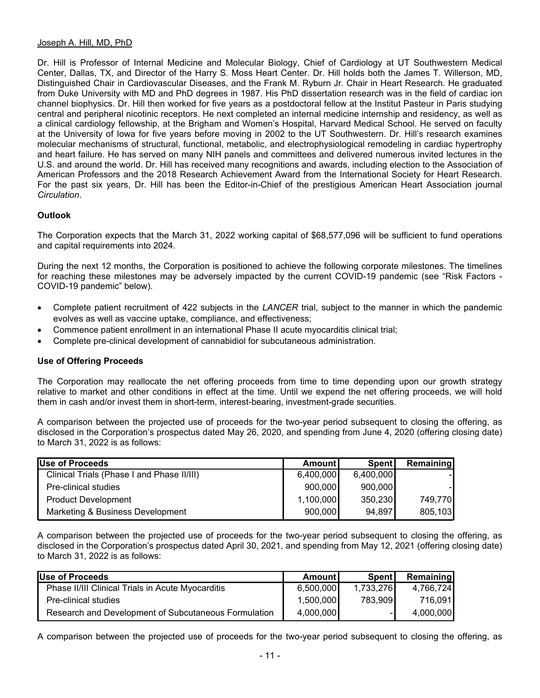## Joseph A. Hill, MD, PhD

Dr. Hill is Professor of Internal Medicine and Molecular Biology, Chief of Cardiology at UT Southwestern Medical Center, Dallas, TX, and Director of the Harry S. Moss Heart Center. Dr. Hill holds both the James T. Willerson, MD, Distinguished Chair in Cardiovascular Diseases, and the Frank M. Ryburn Jr. Chair in Heart Research. He graduated from Duke University with MD and PhD degrees in 1987. His PhD dissertation research was in the field of cardiac ion channel biophysics. Dr. Hill then worked for five years as a postdoctoral fellow at the Institut Pasteur in Paris studying central and peripheral nicotinic receptors. He next completed an internal medicine internship and residency, as well as a clinical cardiology fellowship, at the Brigham and Women's Hospital, Harvard Medical School. He served on faculty at the University of Iowa for five years before moving in 2002 to the UT Southwestern. Dr. Hill's research examines molecular mechanisms of structural, functional, metabolic, and electrophysiological remodeling in cardiac hypertrophy and heart failure. He has served on many NIH panels and committees and delivered numerous invited lectures in the U.S. and around the world. Dr. Hill has received many recognitions and awards, including election to the Association of American Professors and the 2018 Research Achievement Award from the International Society for Heart Research. For the past six years, Dr. Hill has been the Editor-in-Chief of the prestigious American Heart Association journal *Circulation*.

# **Outlook**

The Corporation expects that the March 31, 2022 working capital of \$68,577,096 will be sufficient to fund operations and capital requirements into 2024.

During the next 12 months, the Corporation is positioned to achieve the following corporate milestones. The timelines for reaching these milestones may be adversely impacted by the current COVID-19 pandemic (see "Risk Factors - COVID-19 pandemic" below).

- Complete patient recruitment of 422 subjects in the *LANCER* trial, subject to the manner in which the pandemic evolves as well as vaccine uptake, compliance, and effectiveness;
- Commence patient enrollment in an international Phase II acute myocarditis clinical trial;
- Complete pre-clinical development of cannabidiol for subcutaneous administration.

# **Use of Offering Proceeds**

The Corporation may reallocate the net offering proceeds from time to time depending upon our growth strategy relative to market and other conditions in effect at the time. Until we expend the net offering proceeds, we will hold them in cash and/or invest them in short-term, interest-bearing, investment-grade securities.

A comparison between the projected use of proceeds for the two-year period subsequent to closing the offering, as disclosed in the Corporation's prospectus dated May 26, 2020, and spending from June 4, 2020 (offering closing date) to March 31, 2022 is as follows:

| <b>Use of Proceeds</b>                     | Amountl   | <b>Spent</b> | Remaining |
|--------------------------------------------|-----------|--------------|-----------|
| Clinical Trials (Phase I and Phase II/III) | 6,400,000 | 6,400,000    |           |
| Pre-clinical studies                       | 900,000   | 900,000      |           |
| <b>Product Development</b>                 | 1,100,000 | 350,230      | 749,770   |
| Marketing & Business Development           | 900,000   | 94,897       | 805,103   |

A comparison between the projected use of proceeds for the two-year period subsequent to closing the offering, as disclosed in the Corporation's prospectus dated April 30, 2021, and spending from May 12, 2021 (offering closing date) to March 31, 2022 is as follows:

| lUse of Proceeds                                     | Amountl   | <b>Spent</b> | <b>Remaining</b> |
|------------------------------------------------------|-----------|--------------|------------------|
| Phase II/III Clinical Trials in Acute Myocarditis    | 6,500,000 | 1,733,276    | 4,766,724        |
| Pre-clinical studies                                 | 1,500,000 | 783.909      | 716.091          |
| Research and Development of Subcutaneous Formulation | 4.000.000 |              | 4.000.000        |

A comparison between the projected use of proceeds for the two-year period subsequent to closing the offering, as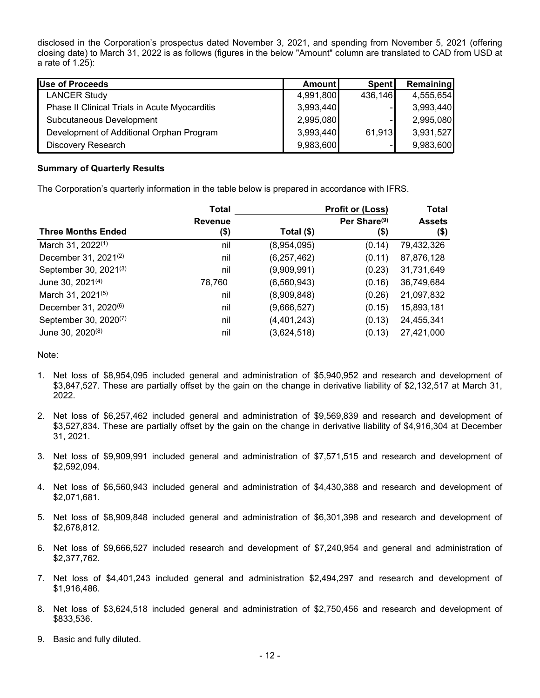disclosed in the Corporation's prospectus dated November 3, 2021, and spending from November 5, 2021 (offering closing date) to March 31, 2022 is as follows (figures in the below "Amount" column are translated to CAD from USD at a rate of 1.25):

| <b>Use of Proceeds</b>                        | Amount    | <b>Spent</b> | Remaining |
|-----------------------------------------------|-----------|--------------|-----------|
| <b>LANCER Study</b>                           | 4,991,800 | 436,146      | 4,555,654 |
| Phase II Clinical Trials in Acute Myocarditis | 3,993,440 |              | 3,993,440 |
| Subcutaneous Development                      | 2,995,080 |              | 2,995,080 |
| Development of Additional Orphan Program      | 3,993,440 | 61,913       | 3,931,527 |
| Discovery Research                            | 9,983,600 |              | 9,983,600 |

# **Summary of Quarterly Results**

The Corporation's quarterly information in the table below is prepared in accordance with IFRS.

|                                   | <b>Total</b>           | <b>Profit or (Loss)</b> |                                     | <b>Total</b>          |
|-----------------------------------|------------------------|-------------------------|-------------------------------------|-----------------------|
| <b>Three Months Ended</b>         | <b>Revenue</b><br>(\$) | Total $(\$)$            | Per Share <sup>(9)</sup><br>$($ \$) | <b>Assets</b><br>(\$) |
| March 31, 2022 <sup>(1)</sup>     | nil                    | (8,954,095)             | (0.14)                              | 79,432,326            |
| December 31, 2021 <sup>(2)</sup>  | nil                    | (6, 257, 462)           | (0.11)                              | 87,876,128            |
| September 30, 2021(3)             | nil                    | (9,909,991)             | (0.23)                              | 31,731,649            |
| June 30, 2021 <sup>(4)</sup>      | 78,760                 | (6,560,943)             | (0.16)                              | 36,749,684            |
| March 31, 2021 <sup>(5)</sup>     | nil                    | (8,909,848)             | (0.26)                              | 21,097,832            |
| December 31, 2020 <sup>(6)</sup>  | nil                    | (9,666,527)             | (0.15)                              | 15,893,181            |
| September 30, 2020 <sup>(7)</sup> | nil                    | (4, 401, 243)           | (0.13)                              | 24,455,341            |
| June 30, 2020 <sup>(8)</sup>      | nil                    | (3,624,518)             | (0.13)                              | 27,421,000            |

## Note:

- 1. Net loss of \$8,954,095 included general and administration of \$5,940,952 and research and development of \$3,847,527. These are partially offset by the gain on the change in derivative liability of \$2,132,517 at March 31, 2022.
- 2. Net loss of \$6,257,462 included general and administration of \$9,569,839 and research and development of \$3,527,834. These are partially offset by the gain on the change in derivative liability of \$4,916,304 at December 31, 2021.
- 3. Net loss of \$9,909,991 included general and administration of \$7,571,515 and research and development of \$2,592,094.
- 4. Net loss of \$6,560,943 included general and administration of \$4,430,388 and research and development of \$2,071,681.
- 5. Net loss of \$8,909,848 included general and administration of \$6,301,398 and research and development of \$2,678,812.
- 6. Net loss of \$9,666,527 included research and development of \$7,240,954 and general and administration of \$2,377,762.
- 7. Net loss of \$4,401,243 included general and administration \$2,494,297 and research and development of \$1,916,486.
- 8. Net loss of \$3,624,518 included general and administration of \$2,750,456 and research and development of \$833,536.
- 9. Basic and fully diluted.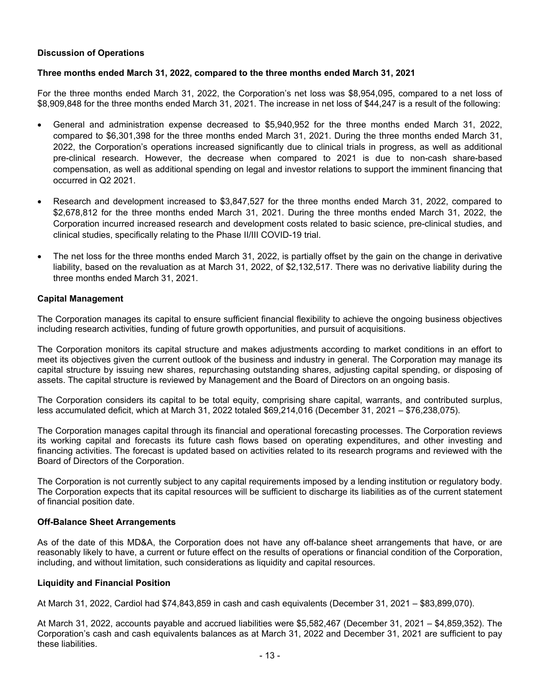# **Discussion of Operations**

## **Three months ended March 31, 2022, compared to the three months ended March 31, 2021**

For the three months ended March 31, 2022, the Corporation's net loss was \$8,954,095, compared to a net loss of \$8,909,848 for the three months ended March 31, 2021. The increase in net loss of \$44,247 is a result of the following:

- General and administration expense decreased to \$5,940,952 for the three months ended March 31, 2022, compared to \$6,301,398 for the three months ended March 31, 2021. During the three months ended March 31, 2022, the Corporation's operations increased significantly due to clinical trials in progress, as well as additional pre-clinical research. However, the decrease when compared to 2021 is due to non-cash share-based compensation, as well as additional spending on legal and investor relations to support the imminent financing that occurred in Q2 2021.
- Research and development increased to \$3,847,527 for the three months ended March 31, 2022, compared to \$2,678,812 for the three months ended March 31, 2021. During the three months ended March 31, 2022, the Corporation incurred increased research and development costs related to basic science, pre-clinical studies, and clinical studies, specifically relating to the Phase II/III COVID-19 trial.
- The net loss for the three months ended March 31, 2022, is partially offset by the gain on the change in derivative liability, based on the revaluation as at March 31, 2022, of \$2,132,517. There was no derivative liability during the three months ended March 31, 2021.

## **Capital Management**

The Corporation manages its capital to ensure sufficient financial flexibility to achieve the ongoing business objectives including research activities, funding of future growth opportunities, and pursuit of acquisitions.

The Corporation monitors its capital structure and makes adjustments according to market conditions in an effort to meet its objectives given the current outlook of the business and industry in general. The Corporation may manage its capital structure by issuing new shares, repurchasing outstanding shares, adjusting capital spending, or disposing of assets. The capital structure is reviewed by Management and the Board of Directors on an ongoing basis.

The Corporation considers its capital to be total equity, comprising share capital, warrants, and contributed surplus, less accumulated deficit, which at March 31, 2022 totaled \$69,214,016 (December 31, 2021 – \$76,238,075).

The Corporation manages capital through its financial and operational forecasting processes. The Corporation reviews its working capital and forecasts its future cash flows based on operating expenditures, and other investing and financing activities. The forecast is updated based on activities related to its research programs and reviewed with the Board of Directors of the Corporation.

The Corporation is not currently subject to any capital requirements imposed by a lending institution or regulatory body. The Corporation expects that its capital resources will be sufficient to discharge its liabilities as of the current statement of financial position date.

## **Off-Balance Sheet Arrangements**

As of the date of this MD&A, the Corporation does not have any off-balance sheet arrangements that have, or are reasonably likely to have, a current or future effect on the results of operations or financial condition of the Corporation, including, and without limitation, such considerations as liquidity and capital resources.

## **Liquidity and Financial Position**

At March 31, 2022, Cardiol had \$74,843,859 in cash and cash equivalents (December 31, 2021 – \$83,899,070).

At March 31, 2022, accounts payable and accrued liabilities were \$5,582,467 (December 31, 2021 – \$4,859,352). The Corporation's cash and cash equivalents balances as at March 31, 2022 and December 31, 2021 are sufficient to pay these liabilities.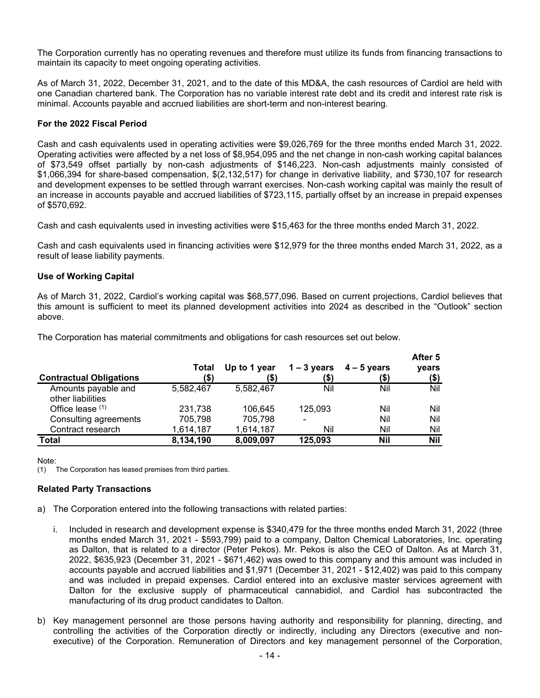The Corporation currently has no operating revenues and therefore must utilize its funds from financing transactions to maintain its capacity to meet ongoing operating activities.

As of March 31, 2022, December 31, 2021, and to the date of this MD&A, the cash resources of Cardiol are held with one Canadian chartered bank. The Corporation has no variable interest rate debt and its credit and interest rate risk is minimal. Accounts payable and accrued liabilities are short-term and non-interest bearing.

## **For the 2022 Fiscal Period**

Cash and cash equivalents used in operating activities were \$9,026,769 for the three months ended March 31, 2022. Operating activities were affected by a net loss of \$8,954,095 and the net change in non-cash working capital balances of \$73,549 offset partially by non-cash adjustments of \$146,223. Non-cash adjustments mainly consisted of \$1,066,394 for share-based compensation, \$(2,132,517) for change in derivative liability, and \$730,107 for research and development expenses to be settled through warrant exercises. Non-cash working capital was mainly the result of an increase in accounts payable and accrued liabilities of \$723,115, partially offset by an increase in prepaid expenses of \$570,692.

Cash and cash equivalents used in investing activities were \$15,463 for the three months ended March 31, 2022.

Cash and cash equivalents used in financing activities were \$12,979 for the three months ended March 31, 2022, as a result of lease liability payments.

# **Use of Working Capital**

As of March 31, 2022, Cardiol's working capital was \$68,577,096. Based on current projections, Cardiol believes that this amount is sufficient to meet its planned development activities into 2024 as described in the "Outlook" section above.

The Corporation has material commitments and obligations for cash resources set out below.

| <b>Contractual Obligations</b>           | Total<br>(\$) | Up to 1 year<br>(\$) | $1 - 3$ years<br>(\$) | $4 - 5$ years<br>(\$) | After 5<br>years<br>$($ \$) |
|------------------------------------------|---------------|----------------------|-----------------------|-----------------------|-----------------------------|
| Amounts payable and<br>other liabilities | 5,582,467     | 5.582.467            | Nil                   | Nil                   | Nil                         |
| Office lease $(1)$                       | 231,738       | 106.645              | 125,093               | Nil                   | Nil                         |
| Consulting agreements                    | 705,798       | 705,798              | $\blacksquare$        | Nil                   | Nil                         |
| Contract research                        | 1,614,187     | 1,614,187            | Nil                   | Nil                   | Nil                         |
| Total                                    | 8,134,190     | 8,009,097            | 125,093               | Nil                   | <b>Nil</b>                  |

Note:

(1) The Corporation has leased premises from third parties.

## **Related Party Transactions**

- a) The Corporation entered into the following transactions with related parties:
	- i. Included in research and development expense is \$340,479 for the three months ended March 31, 2022 (three months ended March 31, 2021 - \$593,799) paid to a company, Dalton Chemical Laboratories, Inc. operating as Dalton, that is related to a director (Peter Pekos). Mr. Pekos is also the CEO of Dalton. As at March 31, 2022, \$635,923 (December 31, 2021 - \$671,462) was owed to this company and this amount was included in accounts payable and accrued liabilities and \$1,971 (December 31, 2021 - \$12,402) was paid to this company and was included in prepaid expenses. Cardiol entered into an exclusive master services agreement with Dalton for the exclusive supply of pharmaceutical cannabidiol, and Cardiol has subcontracted the manufacturing of its drug product candidates to Dalton.
- b) Key management personnel are those persons having authority and responsibility for planning, directing, and controlling the activities of the Corporation directly or indirectly, including any Directors (executive and nonexecutive) of the Corporation. Remuneration of Directors and key management personnel of the Corporation,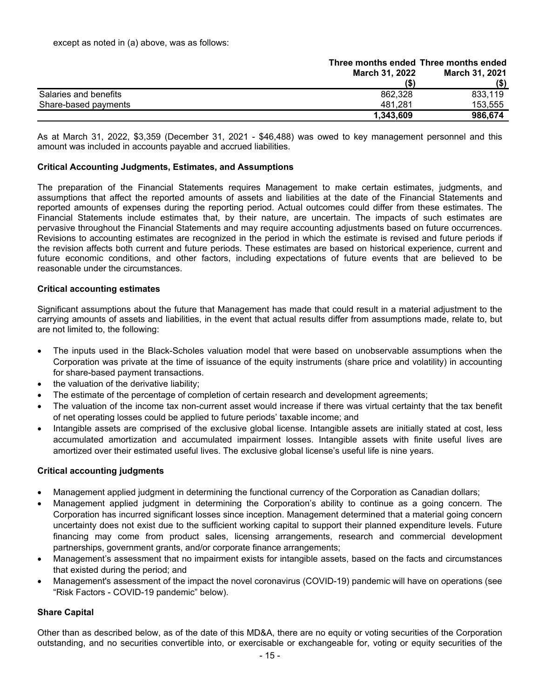|                       |                       | Three months ended Three months ended |
|-----------------------|-----------------------|---------------------------------------|
|                       | <b>March 31, 2022</b> | <b>March 31, 2021</b>                 |
|                       | (S)                   | (\$)                                  |
| Salaries and benefits | 862.328               | 833.119                               |
| Share-based payments  | 481,281               | 153.555                               |
|                       | 1,343,609             | 986.674                               |

As at March 31, 2022, \$3,359 (December 31, 2021 - \$46,488) was owed to key management personnel and this amount was included in accounts payable and accrued liabilities.

# **Critical Accounting Judgments, Estimates, and Assumptions**

The preparation of the Financial Statements requires Management to make certain estimates, judgments, and assumptions that affect the reported amounts of assets and liabilities at the date of the Financial Statements and reported amounts of expenses during the reporting period. Actual outcomes could differ from these estimates. The Financial Statements include estimates that, by their nature, are uncertain. The impacts of such estimates are pervasive throughout the Financial Statements and may require accounting adjustments based on future occurrences. Revisions to accounting estimates are recognized in the period in which the estimate is revised and future periods if the revision affects both current and future periods. These estimates are based on historical experience, current and future economic conditions, and other factors, including expectations of future events that are believed to be reasonable under the circumstances.

## **Critical accounting estimates**

Significant assumptions about the future that Management has made that could result in a material adjustment to the carrying amounts of assets and liabilities, in the event that actual results differ from assumptions made, relate to, but are not limited to, the following:

- The inputs used in the Black-Scholes valuation model that were based on unobservable assumptions when the Corporation was private at the time of issuance of the equity instruments (share price and volatility) in accounting for share-based payment transactions.
- the valuation of the derivative liability;
- The estimate of the percentage of completion of certain research and development agreements;
- The valuation of the income tax non-current asset would increase if there was virtual certainty that the tax benefit of net operating losses could be applied to future periods' taxable income; and
- Intangible assets are comprised of the exclusive global license. Intangible assets are initially stated at cost, less accumulated amortization and accumulated impairment losses. Intangible assets with finite useful lives are amortized over their estimated useful lives. The exclusive global license's useful life is nine years.

## **Critical accounting judgments**

- Management applied judgment in determining the functional currency of the Corporation as Canadian dollars;
- Management applied judgment in determining the Corporation's ability to continue as a going concern. The Corporation has incurred significant losses since inception. Management determined that a material going concern uncertainty does not exist due to the sufficient working capital to support their planned expenditure levels. Future financing may come from product sales, licensing arrangements, research and commercial development partnerships, government grants, and/or corporate finance arrangements;
- Management's assessment that no impairment exists for intangible assets, based on the facts and circumstances that existed during the period; and
- Management's assessment of the impact the novel coronavirus (COVID-19) pandemic will have on operations (see "Risk Factors - COVID-19 pandemic" below).

## **Share Capital**

Other than as described below, as of the date of this MD&A, there are no equity or voting securities of the Corporation outstanding, and no securities convertible into, or exercisable or exchangeable for, voting or equity securities of the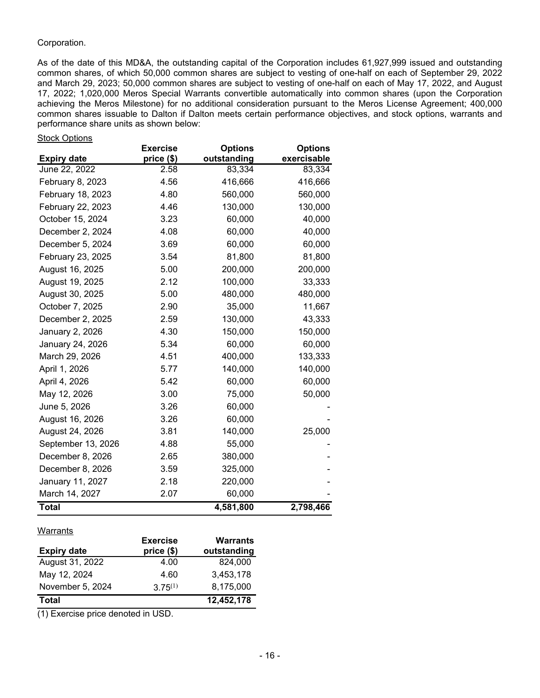# Corporation.

As of the date of this MD&A, the outstanding capital of the Corporation includes 61,927,999 issued and outstanding common shares, of which 50,000 common shares are subject to vesting of one-half on each of September 29, 2022 and March 29, 2023; 50,000 common shares are subject to vesting of one-half on each of May 17, 2022, and August 17, 2022; 1,020,000 Meros Special Warrants convertible automatically into common shares (upon the Corporation achieving the Meros Milestone) for no additional consideration pursuant to the Meros License Agreement; 400,000 common shares issuable to Dalton if Dalton meets certain performance objectives, and stock options, warrants and performance share units as shown below:

#### Stock Options

|                    | <b>Exercise</b> | <b>Options</b> | <b>Options</b> |
|--------------------|-----------------|----------------|----------------|
| <b>Expiry date</b> | price (\$)      | outstanding    | exercisable    |
| June 22, 2022      | 2.58            | 83,334         | 83,334         |
| February 8, 2023   | 4.56            | 416,666        | 416,666        |
| February 18, 2023  | 4.80            | 560,000        | 560,000        |
| February 22, 2023  | 4.46            | 130,000        | 130,000        |
| October 15, 2024   | 3.23            | 60,000         | 40,000         |
| December 2, 2024   | 4.08            | 60,000         | 40,000         |
| December 5, 2024   | 3.69            | 60,000         | 60,000         |
| February 23, 2025  | 3.54            | 81,800         | 81,800         |
| August 16, 2025    | 5.00            | 200,000        | 200,000        |
| August 19, 2025    | 2.12            | 100,000        | 33,333         |
| August 30, 2025    | 5.00            | 480,000        | 480,000        |
| October 7, 2025    | 2.90            | 35,000         | 11,667         |
| December 2, 2025   | 2.59            | 130,000        | 43,333         |
| January 2, 2026    | 4.30            | 150,000        | 150,000        |
| January 24, 2026   | 5.34            | 60,000         | 60,000         |
| March 29, 2026     | 4.51            | 400,000        | 133,333        |
| April 1, 2026      | 5.77            | 140,000        | 140,000        |
| April 4, 2026      | 5.42            | 60,000         | 60,000         |
| May 12, 2026       | 3.00            | 75,000         | 50,000         |
| June 5, 2026       | 3.26            | 60,000         |                |
| August 16, 2026    | 3.26            | 60,000         |                |
| August 24, 2026    | 3.81            | 140,000        | 25,000         |
| September 13, 2026 | 4.88            | 55,000         |                |
| December 8, 2026   | 2.65            | 380,000        |                |
| December 8, 2026   | 3.59            | 325,000        |                |
| January 11, 2027   | 2.18            | 220,000        |                |
| March 14, 2027     | 2.07            | 60,000         |                |
| <b>Total</b>       |                 | 4,581,800      | 2,798,466      |

## Warrants

| <b>Expiry date</b> | <b>Exercise</b><br>price (\$) | <b>Warrants</b><br>outstanding |
|--------------------|-------------------------------|--------------------------------|
| August 31, 2022    | 4.00                          | 824,000                        |
| May 12, 2024       | 4.60                          | 3,453,178                      |
| November 5, 2024   | $3.75^{(1)}$                  | 8,175,000                      |
| <b>Total</b>       |                               | 12,452,178                     |

(1) Exercise price denoted in USD.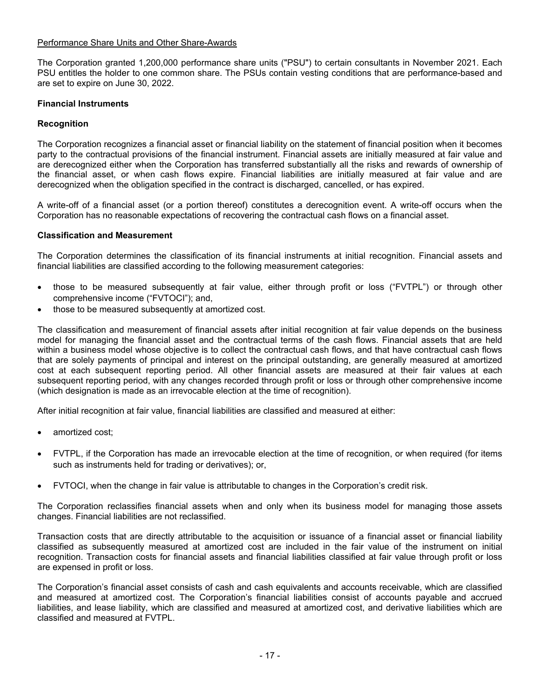## Performance Share Units and Other Share-Awards

The Corporation granted 1,200,000 performance share units ("PSU") to certain consultants in November 2021. Each PSU entitles the holder to one common share. The PSUs contain vesting conditions that are performance-based and are set to expire on June 30, 2022.

# **Financial Instruments**

# **Recognition**

The Corporation recognizes a financial asset or financial liability on the statement of financial position when it becomes party to the contractual provisions of the financial instrument. Financial assets are initially measured at fair value and are derecognized either when the Corporation has transferred substantially all the risks and rewards of ownership of the financial asset, or when cash flows expire. Financial liabilities are initially measured at fair value and are derecognized when the obligation specified in the contract is discharged, cancelled, or has expired.

A write-off of a financial asset (or a portion thereof) constitutes a derecognition event. A write-off occurs when the Corporation has no reasonable expectations of recovering the contractual cash flows on a financial asset.

## **Classification and Measurement**

The Corporation determines the classification of its financial instruments at initial recognition. Financial assets and financial liabilities are classified according to the following measurement categories:

- those to be measured subsequently at fair value, either through profit or loss ("FVTPL") or through other comprehensive income ("FVTOCI"); and,
- those to be measured subsequently at amortized cost.

The classification and measurement of financial assets after initial recognition at fair value depends on the business model for managing the financial asset and the contractual terms of the cash flows. Financial assets that are held within a business model whose objective is to collect the contractual cash flows, and that have contractual cash flows that are solely payments of principal and interest on the principal outstanding, are generally measured at amortized cost at each subsequent reporting period. All other financial assets are measured at their fair values at each subsequent reporting period, with any changes recorded through profit or loss or through other comprehensive income (which designation is made as an irrevocable election at the time of recognition).

After initial recognition at fair value, financial liabilities are classified and measured at either:

- amortized cost;
- FVTPL, if the Corporation has made an irrevocable election at the time of recognition, or when required (for items such as instruments held for trading or derivatives); or,
- FVTOCI, when the change in fair value is attributable to changes in the Corporation's credit risk.

The Corporation reclassifies financial assets when and only when its business model for managing those assets changes. Financial liabilities are not reclassified.

Transaction costs that are directly attributable to the acquisition or issuance of a financial asset or financial liability classified as subsequently measured at amortized cost are included in the fair value of the instrument on initial recognition. Transaction costs for financial assets and financial liabilities classified at fair value through profit or loss are expensed in profit or loss.

The Corporation's financial asset consists of cash and cash equivalents and accounts receivable, which are classified and measured at amortized cost. The Corporation's financial liabilities consist of accounts payable and accrued liabilities, and lease liability, which are classified and measured at amortized cost, and derivative liabilities which are classified and measured at FVTPL.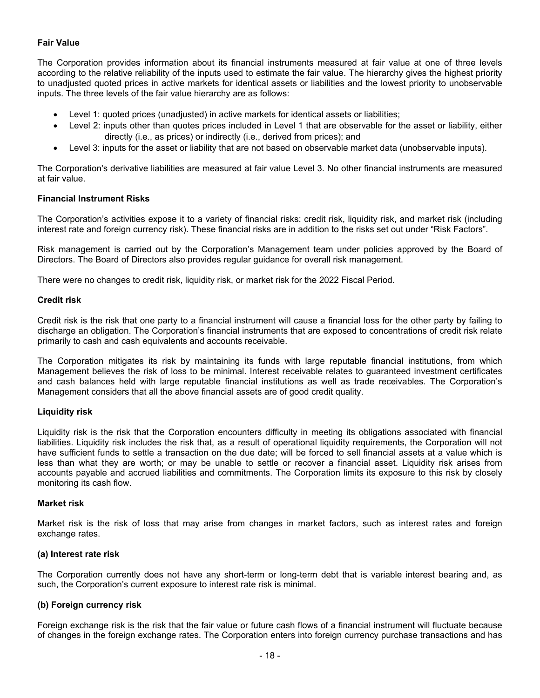# **Fair Value**

The Corporation provides information about its financial instruments measured at fair value at one of three levels according to the relative reliability of the inputs used to estimate the fair value. The hierarchy gives the highest priority to unadjusted quoted prices in active markets for identical assets or liabilities and the lowest priority to unobservable inputs. The three levels of the fair value hierarchy are as follows:

- Level 1: quoted prices (unadjusted) in active markets for identical assets or liabilities;
- Level 2: inputs other than quotes prices included in Level 1 that are observable for the asset or liability, either directly (i.e., as prices) or indirectly (i.e., derived from prices); and
- Level 3: inputs for the asset or liability that are not based on observable market data (unobservable inputs).

The Corporation's derivative liabilities are measured at fair value Level 3. No other financial instruments are measured at fair value.

# **Financial Instrument Risks**

The Corporation's activities expose it to a variety of financial risks: credit risk, liquidity risk, and market risk (including interest rate and foreign currency risk). These financial risks are in addition to the risks set out under "Risk Factors".

Risk management is carried out by the Corporation's Management team under policies approved by the Board of Directors. The Board of Directors also provides regular guidance for overall risk management.

There were no changes to credit risk, liquidity risk, or market risk for the 2022 Fiscal Period.

## **Credit risk**

Credit risk is the risk that one party to a financial instrument will cause a financial loss for the other party by failing to discharge an obligation. The Corporation's financial instruments that are exposed to concentrations of credit risk relate primarily to cash and cash equivalents and accounts receivable.

The Corporation mitigates its risk by maintaining its funds with large reputable financial institutions, from which Management believes the risk of loss to be minimal. Interest receivable relates to guaranteed investment certificates and cash balances held with large reputable financial institutions as well as trade receivables. The Corporation's Management considers that all the above financial assets are of good credit quality.

## **Liquidity risk**

Liquidity risk is the risk that the Corporation encounters difficulty in meeting its obligations associated with financial liabilities. Liquidity risk includes the risk that, as a result of operational liquidity requirements, the Corporation will not have sufficient funds to settle a transaction on the due date; will be forced to sell financial assets at a value which is less than what they are worth; or may be unable to settle or recover a financial asset. Liquidity risk arises from accounts payable and accrued liabilities and commitments. The Corporation limits its exposure to this risk by closely monitoring its cash flow.

## **Market risk**

Market risk is the risk of loss that may arise from changes in market factors, such as interest rates and foreign exchange rates.

## **(a) Interest rate risk**

The Corporation currently does not have any short-term or long-term debt that is variable interest bearing and, as such, the Corporation's current exposure to interest rate risk is minimal.

## **(b) Foreign currency risk**

Foreign exchange risk is the risk that the fair value or future cash flows of a financial instrument will fluctuate because of changes in the foreign exchange rates. The Corporation enters into foreign currency purchase transactions and has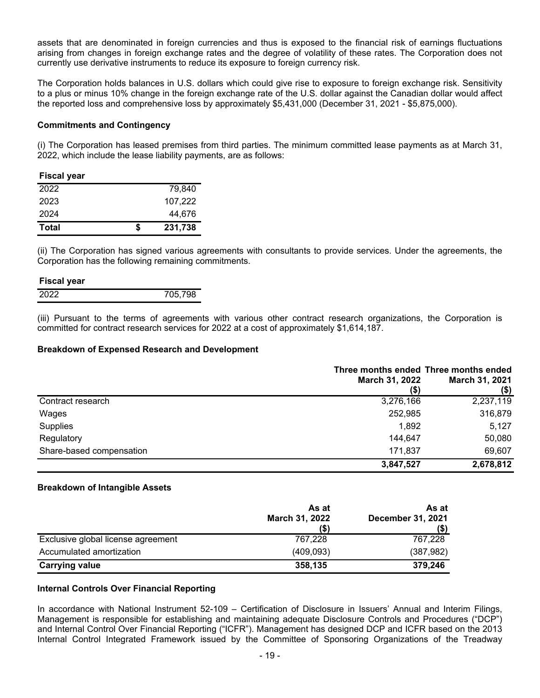assets that are denominated in foreign currencies and thus is exposed to the financial risk of earnings fluctuations arising from changes in foreign exchange rates and the degree of volatility of these rates. The Corporation does not currently use derivative instruments to reduce its exposure to foreign currency risk.

The Corporation holds balances in U.S. dollars which could give rise to exposure to foreign exchange risk. Sensitivity to a plus or minus 10% change in the foreign exchange rate of the U.S. dollar against the Canadian dollar would affect the reported loss and comprehensive loss by approximately \$5,431,000 (December 31, 2021 - \$5,875,000).

## **Commitments and Contingency**

(i) The Corporation has leased premises from third parties. The minimum committed lease payments as at March 31, 2022, which include the lease liability payments, are as follows:

| <b>Fiscal year</b> |   |         |
|--------------------|---|---------|
| 2022               |   | 79.840  |
| 2023               |   | 107.222 |
| 2024               |   | 44,676  |
| <b>Total</b>       | S | 231,738 |

(ii) The Corporation has signed various agreements with consultants to provide services. Under the agreements, the Corporation has the following remaining commitments.

#### **Fiscal year**

| .<br>2021 | 98<br>$\cdot$ $\cdot$ $\cdot$ $\cdot$ |
|-----------|---------------------------------------|
|           |                                       |

(iii) Pursuant to the terms of agreements with various other contract research organizations, the Corporation is committed for contract research services for 2022 at a cost of approximately \$1,614,187.

#### **Breakdown of Expensed Research and Development**

|                          | Three months ended Three months ended<br>March 31, 2022<br>(\$) | March 31, 2021<br>$($ \$) |
|--------------------------|-----------------------------------------------------------------|---------------------------|
| Contract research        | 3,276,166                                                       | 2,237,119                 |
| Wages                    | 252,985                                                         | 316,879                   |
| Supplies                 | 1,892                                                           | 5,127                     |
| Regulatory               | 144,647                                                         | 50,080                    |
| Share-based compensation | 171.837                                                         | 69,607                    |
|                          | 3,847,527                                                       | 2,678,812                 |

## **Breakdown of Intangible Assets**

|                                    | As at<br>March 31, 2022<br>(\$) | As at<br><b>December 31, 2021</b><br>(\$) |
|------------------------------------|---------------------------------|-------------------------------------------|
| Exclusive global license agreement | 767,228                         | 767,228                                   |
| Accumulated amortization           | (409,093)                       | (387, 982)                                |
| <b>Carrying value</b>              | 358,135                         | 379,246                                   |

## **Internal Controls Over Financial Reporting**

In accordance with National Instrument 52-109 – Certification of Disclosure in Issuers' Annual and Interim Filings, Management is responsible for establishing and maintaining adequate Disclosure Controls and Procedures ("DCP") and Internal Control Over Financial Reporting ("ICFR"). Management has designed DCP and ICFR based on the 2013 Internal Control Integrated Framework issued by the Committee of Sponsoring Organizations of the Treadway